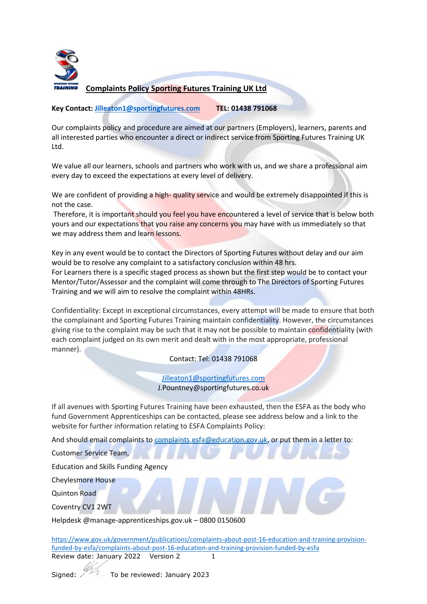

## **Complaints Policy Sporting Futures Training UK Ltd**

## **Key Contact: [Jilleaton1@sportingfutures.com](mailto:Jilleaton1@sportingfutures.com) TEL: 01438 791068**

Our complaints policy and procedure are aimed at our partners (Employers), learners, parents and all interested parties who encounter a direct or indirect service from Sporting Futures Training UK Ltd.

We value all our learners, schools and partners who work with us, and we share a professional aim every day to exceed the expectations at every level of delivery.

We are confident of providing a high- quality service and would be extremely disappointed if this is not the case.

Therefore, it is important should you feel you have encountered a level of service that is below both yours and our expectations that you raise any concerns you may have with us immediately so that we may address them and learn lessons.

Key in any event would be to contact the Directors of Sporting Futures without delay and our aim would be to resolve any complaint to a satisfactory conclusion within 48 hrs.

For Learners there is a specific staged process as shown but the first step would be to contact your Mentor/Tutor/Assessor and the complaint will come through to The Directors of Sporting Futures Training and we will aim to resolve the complaint within 48HRs.

Confidentiality: Except in exceptional circumstances, every attempt will be made to ensure that both the complainant and Sporting Futures Training maintain confidentiality. However, the circumstances giving rise to the complaint may be such that it may not be possible to maintain confidentiality (with each complaint judged on its own merit and dealt with in the most appropriate, professional manner).

Contact: Tel: 01438 791068

[Jilleaton1@sportingfutures.com](mailto:Jilleaton1@sportingfutures.com) J.Pountney@sportingfutures.co.uk

If all avenues with Sporting Futures Training have been exhausted, then the ESFA as the body who fund Government Apprenticeships can be contacted, please see address below and a link to the website for further information relating to ESFA Complaints Policy:

And should email complaints to [complaints.esfa@education.gov.uk,](mailto:complaints.esfa@education.gov.uk) or put them in a letter to:

Customer Service Team,

Education and Skills Funding Agency

Cheylesmore House

Quinton Road

Coventry CV1 2WT

Helpdesk @manage-apprenticeships.gov.uk – 0800 0150600

Review date: January 2022 Version 2 1 [https://www.gov.uk/government/publications/complaints-about-post-16-education-and-training-provision](https://www.gov.uk/government/publications/complaints-about-post-16-education-and-training-provision-funded-by-esfa/complaints-about-post-16-education-and-training-provision-funded-by-esfa)[funded-by-esfa/complaints-about-post-16-education-and-training-provision-funded-by-esfa](https://www.gov.uk/government/publications/complaints-about-post-16-education-and-training-provision-funded-by-esfa/complaints-about-post-16-education-and-training-provision-funded-by-esfa)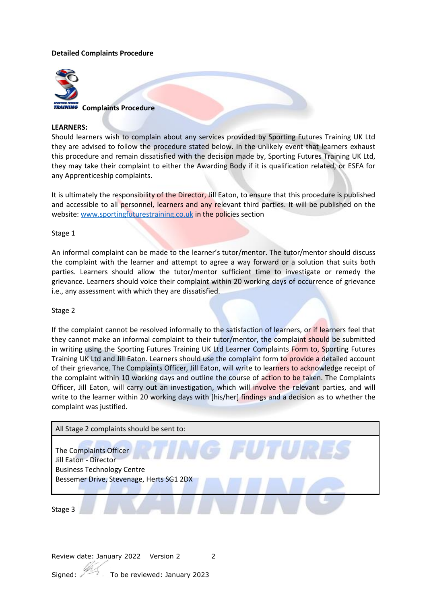# **Detailed Complaints Procedure**



**TRAINING** Complaints Procedure

#### **LEARNERS:**

Should learners wish to complain about any services provided by Sporting Futures Training UK Ltd they are advised to follow the procedure stated below. In the unlikely event that learners exhaust this procedure and remain dissatisfied with the decision made by, Sporting Futures Training UK Ltd, they may take their complaint to either the Awarding Body if it is qualification related, or ESFA for any Apprenticeship complaints.

It is ultimately the responsibility of the Director, Jill Eaton, to ensure that this procedure is published and accessible to all personnel, learners and any relevant third parties. It will be published on the website[: www.sportingfuturestraining.co.uk](http://www.sportingfuturestraining.co.uk/) in the policies section

#### Stage 1

An informal complaint can be made to the learner's tutor/mentor. The tutor/mentor should discuss the complaint with the learner and attempt to agree a way forward or a solution that suits both parties. Learners should allow the tutor/mentor sufficient time to investigate or remedy the grievance. Learners should voice their complaint within 20 working days of occurrence of grievance i.e., any assessment with which they are dissatisfied.

#### Stage 2

If the complaint cannot be resolved informally to the satisfaction of learners, or if learners feel that they cannot make an informal complaint to their tutor/mentor, the complaint should be submitted in writing using the Sporting Futures Training UK Ltd Learner Complaints Form to, Sporting Futures Training UK Ltd and Jill Eaton. Learners should use the complaint form to provide a detailed account of their grievance. The Complaints Officer, Jill Eaton, will write to learners to acknowledge receipt of the complaint within 10 working days and outline the course of action to be taken. The Complaints Officer, Jill Eaton, will carry out an investigation, which will involve the relevant parties, and will write to the learner within 20 working days with [his/her] findings and a decision as to whether the complaint was justified.

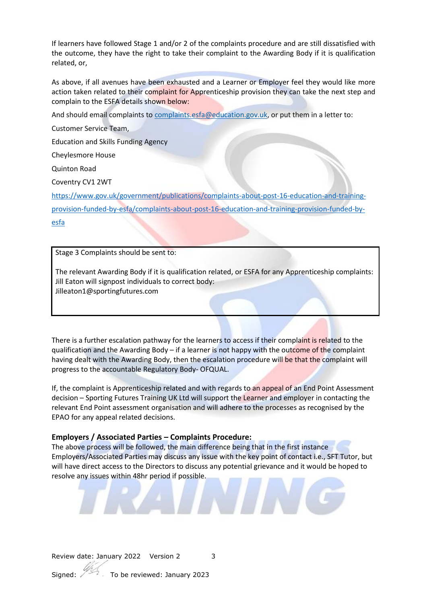If learners have followed Stage 1 and/or 2 of the complaints procedure and are still dissatisfied with the outcome, they have the right to take their complaint to the Awarding Body if it is qualification related, or,

As above, if all avenues have been exhausted and a Learner or Employer feel they would like more action taken related to their complaint for Apprenticeship provision they can take the next step and complain to the ESFA details shown below:

And should email complaints to [complaints.esfa@education.gov.uk,](mailto:complaints.esfa@education.gov.uk) or put them in a letter to:

Customer Service Team,

Education and Skills Funding Agency

Cheylesmore House

Quinton Road

Coventry CV1 2WT

[https://www.gov.uk/government/publications/complaints-about-post-16-education-and-training](https://www.gov.uk/government/publications/complaints-about-post-16-education-and-training-provision-funded-by-esfa/complaints-about-post-16-education-and-training-provision-funded-by-esfa)[provision-funded-by-esfa/complaints-about-post-16-education-and-training-provision-funded-by](https://www.gov.uk/government/publications/complaints-about-post-16-education-and-training-provision-funded-by-esfa/complaints-about-post-16-education-and-training-provision-funded-by-esfa)[esfa](https://www.gov.uk/government/publications/complaints-about-post-16-education-and-training-provision-funded-by-esfa/complaints-about-post-16-education-and-training-provision-funded-by-esfa)

Stage 3 Complaints should be sent to:

The relevant Awarding Body if it is qualification related, or ESFA for any Apprenticeship complaints: Jill Eaton will signpost individuals to correct body: Jilleaton1@sportingfutures.com

There is a further escalation pathway for the learners to access if their complaint is related to the qualification and the Awarding Body – if a learner is not happy with the outcome of the complaint having dealt with the Awarding Body, then the escalation procedure will be that the complaint will progress to the accountable Regulatory Body- OFQUAL.

If, the complaint is Apprenticeship related and with regards to an appeal of an End Point Assessment decision – Sporting Futures Training UK Ltd will support the Learner and employer in contacting the relevant End Point assessment organisation and will adhere to the processes as recognised by the EPAO for any appeal related decisions.

# **Employers / Associated Parties – Complaints Procedure:**

The above process will be followed, the main difference being that in the first instance Employers/Associated Parties may discuss any issue with the key point of contact i.e., SFT Tutor, but will have direct access to the Directors to discuss any potential grievance and it would be hoped to resolve any issues within 48hr period if possible.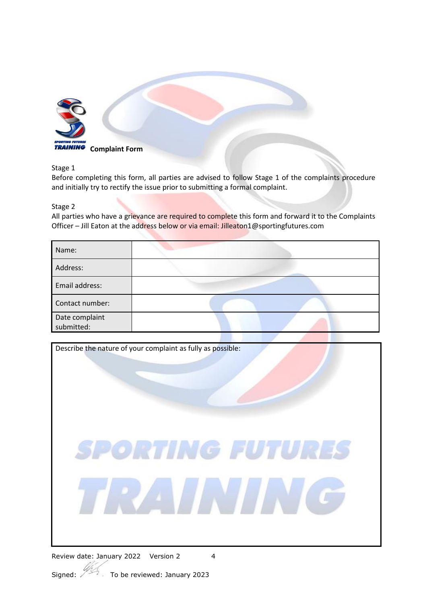

Stage 1

Before completing this form, all parties are advised to follow Stage 1 of the complaints procedure and initially try to rectify the issue prior to submitting a formal complaint.

# Stage 2

All parties who have a grievance are required to complete this form and forward it to the Complaints Officer – Jill Eaton at the address below or via email: Jilleaton1@sportingfutures.com

| Name:                        |  |
|------------------------------|--|
| Address:                     |  |
| Email address:               |  |
| Contact number:              |  |
| Date complaint<br>submitted: |  |